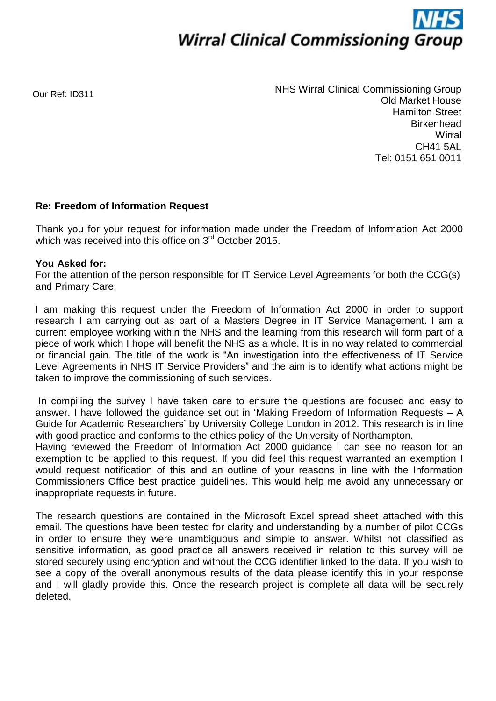

Our Ref: ID311

NHS Wirral Clinical Commissioning Group Old Market House Hamilton Street **Birkenhead Wirral** CH41 5AL Tel: 0151 651 0011

## **Re: Freedom of Information Request**

Thank you for your request for information made under the Freedom of Information Act 2000 which was received into this office on 3<sup>rd</sup> October 2015.

## **You Asked for:**

For the attention of the person responsible for IT Service Level Agreements for both the CCG(s) and Primary Care:

I am making this request under the Freedom of Information Act 2000 in order to support research I am carrying out as part of a Masters Degree in IT Service Management. I am a current employee working within the NHS and the learning from this research will form part of a piece of work which I hope will benefit the NHS as a whole. It is in no way related to commercial or financial gain. The title of the work is "An investigation into the effectiveness of IT Service Level Agreements in NHS IT Service Providers" and the aim is to identify what actions might be taken to improve the commissioning of such services.

In compiling the survey I have taken care to ensure the questions are focused and easy to answer. I have followed the guidance set out in 'Making Freedom of Information Requests – A Guide for Academic Researchers' by University College London in 2012. This research is in line with good practice and conforms to the ethics policy of the University of Northampton.

Having reviewed the Freedom of Information Act 2000 guidance I can see no reason for an exemption to be applied to this request. If you did feel this request warranted an exemption I would request notification of this and an outline of your reasons in line with the Information Commissioners Office best practice guidelines. This would help me avoid any unnecessary or inappropriate requests in future.

The research questions are contained in the Microsoft Excel spread sheet attached with this email. The questions have been tested for clarity and understanding by a number of pilot CCGs in order to ensure they were unambiguous and simple to answer. Whilst not classified as sensitive information, as good practice all answers received in relation to this survey will be stored securely using encryption and without the CCG identifier linked to the data. If you wish to see a copy of the overall anonymous results of the data please identify this in your response and I will gladly provide this. Once the research project is complete all data will be securely deleted.